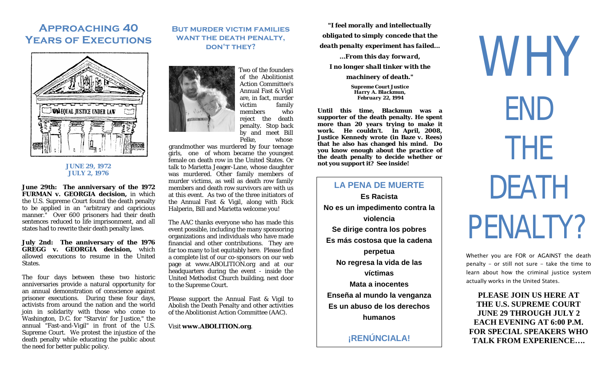# **Approaching 40 Years of Executions**



#### **JUNE 29, 1972 JULY 2, 1976**

**June 29th: The anniversary of the 1972 FURMAN v. GEORGIA decision,** in which the U.S. Supreme Court found the death penalty to be applied in an "arbitrary and capricious manner." Over 600 prisoners had their death sentences reduced to life imprisonment, and all states had to rewrite their death penalty laws.

**July 2nd: The anniversary of the 1976 GREGG v. GEORGIA decision,** which allowed executions to resume in the United States.

The four days between these two historic anniversaries provide a natural opportunity for an annual demonstration of conscience against prisoner executions. During these four days, activists from around the nation and the world join in solidarity with those who come to Washington, D.C. for "Starvin' for Justice," the annual "Fast-and-Vigil" in front of the U.S. Supreme Court. We protest the injustice of the death penalty while educating the public about the need for better public policy.

### **But murder victim families want the death penalty, DON'T THEY?**

Two of the founders of the Abolitionist Action Committee's Annual Fast & Vigil are, in fact, murder victim family members who reject the death penalty. Stop back by and meet Bill whose

grandmother was murdered by four teenage girls, one of whom became the youngest female on death row in the United States. Or talk to Marietta Jeager-Lane, whose daughter was murdered. Other family members of murder victims, as well as death row family members and death row survivors are with us at this event. As two of the three initiators of the Annual Fast & Vigil, along with Rick Halperin, Bill and Marietta welcome you!

The AAC thanks everyone who has made this event possible, including the many sponsoring organizations and individuals who have made financial and other contributions. They are far too many to list equitably here. Please find a complete list of our co-sponsors on our web page at www.ABOLITION.org and at our headquarters during the event - inside the United Methodist Church building, next door to the Supreme Court.

Please support the Annual Fast & Vigil to Abolish the Death Penalty and other activities of the Abolitionist Action Committee (AAC).

Visit **www.ABOLITION.org**.

*"I feel morally and intellectually obligated to simply concede that the death penalty experiment has failed... ...From this day forward, I no longer shall tinker with the* 

*machinery of death."*

*Supreme Court Justice Harry A. Blackmun, February 22, 1994*

**Until this time, Blackmun was a supporter of the death penalty. He spent more than 20 years trying to make it work. He couldn't. In April, 2008, Justice Kennedy wrote (in Baze v. Rees) that he also has changed his mind. Do you know enough about the practice of the death penalty to decide whether or not you support it? See inside!**

## **LA PENA DE MUERTE**

**Es Racista No es un impedimento contra la violencia Se dirige contra los pobres Es más costosa que la cadena perpetua No regresa la vida de las víctimas Mata a inocentes Enseña al mundo la venganza Es un abuso de los derechos humanos**

## **¡RENÚNCIALA!**

WHY END THE DEATH PENALTY?

Whether you are FOR or AGAINST the death penalty - or still not sure - take the time to learn about how the criminal justice system actually works in the United States.

**PLEASE JOIN US HERE AT THE U.S. SUPREME COURT JUNE 29 THROUGH JULY 2 EACH EVENING AT 6:00 P.M. FOR SPECIAL SPEAKERS WHO TALK FROM EXPERIENCE….**